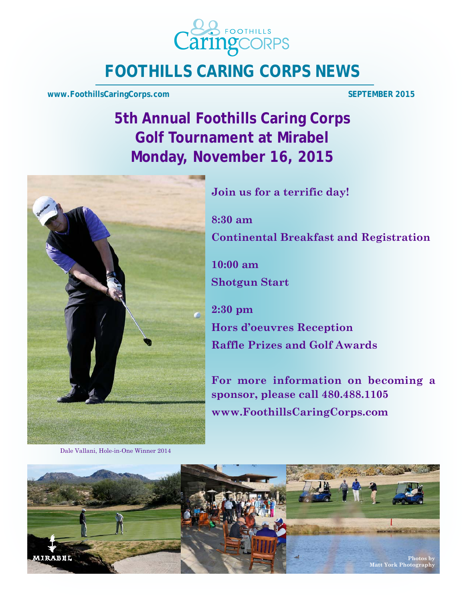

# **FOOTHILLS CARING CORPS NEWS**

**www.FoothillsCaringCorps.com** SEPTEMBER 2015

**5th Annual Foothills Caring Corps Golf Tournament at Mirabel Monday, November 16, 2015** 



Dale Vallani, Hole-in-One Winner 2014

**Join us for a terrific day!** 

**8:30 am Continental Breakfast and Registration** 

**10:00 am Shotgun Start** 

**2:30 pm Hors d'oeuvres Reception Raffle Prizes and Golf Awards** 

**For more information on becoming a sponsor, please call 480.488.1105 www.FoothillsCaringCorps.com** 

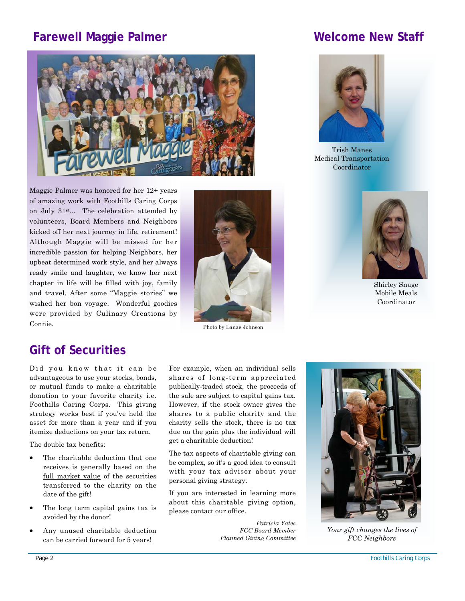# **Farewell Maggie Palmer Mellong Staff Convertision Convertision Convertision Convertision Convertision Convertision Convertision Convertision Convertision Convertision Convertision Convertision Convertision Convertision Co**



Maggie Palmer was honored for her 12+ years of amazing work with Foothills Caring Corps on July 31st... The celebration attended by volunteers, Board Members and Neighbors kicked off her next journey in life, retirement! Although Maggie will be missed for her incredible passion for helping Neighbors, her upbeat determined work style, and her always ready smile and laughter, we know her next chapter in life will be filled with joy, family and travel. After some "Maggie stories" we wished her bon voyage. Wonderful goodies were provided by Culinary Creations by Connie.



Photo by Lanae Johnson



Trish Manes Medical Transportation Coordinator



Shirley Snage Mobile Meals Coordinator

## **Gift of Securities**

Did you know that it can be advantageous to use your stocks, bonds, or mutual funds to make a charitable donation to your favorite charity i.e. Foothills Caring Corps. This giving strategy works best if you've held the asset for more than a year and if you itemize deductions on your tax return.

The double tax benefits:

- The charitable deduction that one receives is generally based on the full market value of the securities transferred to the charity on the date of the gift!
- The long term capital gains tax is avoided by the donor!
- Any unused charitable deduction can be carried forward for 5 years!

For example, when an individual sells shares of long-term appreciated publically-traded stock, the proceeds of the sale are subject to capital gains tax. However, if the stock owner gives the shares to a public charity and the charity sells the stock, there is no tax due on the gain plus the individual will get a charitable deduction!

The tax aspects of charitable giving can be complex, so it's a good idea to consult with your tax advisor about your personal giving strategy.

If you are interested in learning more about this charitable giving option, please contact our office.

> *Patricia Yates FCC Board Member Planned Giving Committee*



*Your gift changes the lives of FCC Neighbors*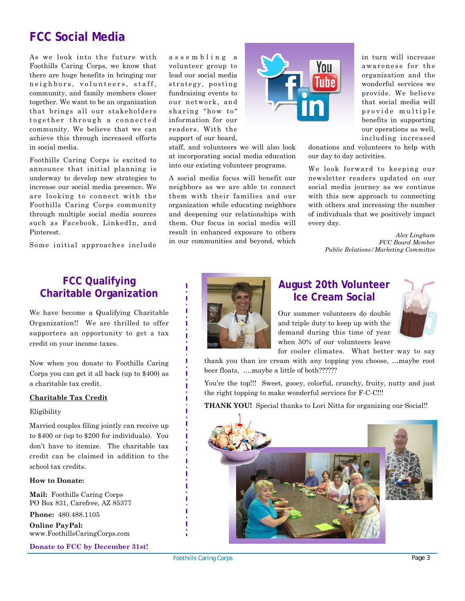# **FCC Social Media**

As we look into the future with Foothills Caring Corps, we know that there are huge benefits in bringing our neighbors, volunteers, staff, community, and family members closer together. We want to be an organization that brings all our stakeholders together through a connected community. We believe that we can achieve this through increased efforts in social media.

Foothills Caring Corps is excited to announce that initial planning is underway to develop new strategies to increase our social media presence. We are looking to connect with the Foothills Caring Corps community through multiple social media sources such as Facebook, LinkedIn, and Pinterest.

Some initial approaches include

a s s e m b l i n g a volunteer group to lead our social media strategy, posting fundraising events to our network, and sharing "how to" information for our readers. With the support of our board,

staff, and volunteers we will also look at incorporating social media education into our existing volunteer programs.

A social media focus will benefit our neighbors as we are able to connect them with their families and our organization while educating neighbors and deepening our relationships with them. Our focus in social media will result in enhanced exposure to others in our communities and beyond, which



in turn will increase awareness for the organization and the wonderful services we provide. We believe that social media will provide multiple benefits in supporting our operations as well, including increased

donations and volunteers to help with our day to day activities.

We look forward to keeping our newsletter readers updated on our social media journey as we continue with this new approach to connecting with others and increasing the number of individuals that we positively impact every day.

> *Alex Lingham FCC Board Member Public Relations/Marketing Committee*

## **FCC Qualifying CO** Cualifying<br> **Charitable Organization Charitable Organization** *Charitable Organization*

We have become a Qualifying Charitable Organization!! We are thrilled to offer supporters an opportunity to get a tax credit on your income taxes.

Now when you donate to Foothills Caring Corps you can get it all back (up to \$400) as a charitable tax credit.

#### **Charitable Tax Credit**

#### Eligibility

Married couples filing jointly can receive up to \$400 or (up to \$200 for individuals). You don't have to itemize. The charitable tax credit can be claimed in addition to the school tax credits.

#### **How to Donate:**

**Mail:** Foothills Caring Corps PO Box 831, Carefree, AZ 85377

**Phone:** 480.488.1105

**Online PayPal:**  www.FoothillsCaringCorps.com

**Donate to FCC by December 31st!** 



# **Ice Cream Social**

Our summer volunteers do double and triple duty to keep up with the demand during this time of year when 50% of our volunteers leave



for cooler climates. What better way to say thank you than ice cream with any topping you choose, …maybe root

beer floats, ….maybe a little of both??????

You're the top!!! Sweet, gooey, colorful, crunchy, fruity, nutty and just the right topping to make wonderful services for F-C-C!!!

**THANK YOU!** Special thanks to Lori Nitta for organizing our Social!!

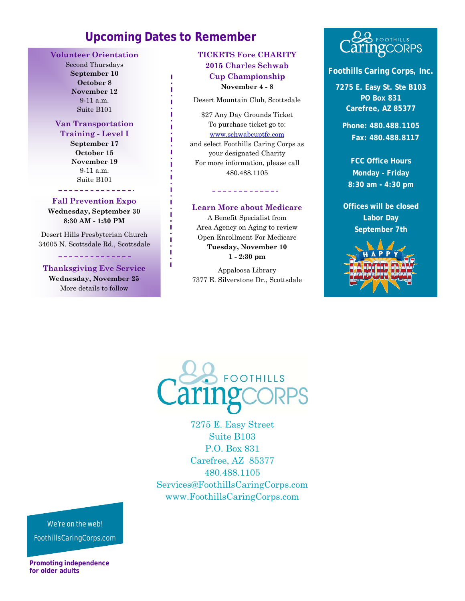## **Upcoming Dates to Remember**

Ï п

ï п Ï

Ï

#### **Volunteer Orientation**

Second Thursdays **September 10 October 8 November 12**  9-11 a.m. Suite B101

### **Van Transportation**

**Training - Level I September 17 October 15 November 19**  9-11 a.m. Suite B101

#### \_\_\_\_\_\_\_\_\_\_\_\_\_\_\_ **Fall Prevention Expo**

**Wednesday, September 30 8:30 AM - 1:30 PM** 

Desert Hills Presbyterian Church 34605 N. Scottsdale Rd., Scottsdale

\_\_\_\_\_\_\_\_\_\_\_\_\_\_

#### **Thanksgiving Eve Service**

**Wednesday, November 25**  More details to follow

#### **TICKETS Fore CHARITY 2015 Charles Schwab Cup Championship November 4 - 8**

Desert Mountain Club, Scottsdale

\$27 Any Day Grounds Ticket To purchase ticket go to: www.schwabcuptfc.com and select Foothills Caring Corps as your designated Charity For more information, please call 480.488.1105

#### **Learn More about Medicare**

<u>\_\_\_\_\_\_\_\_\_\_\_\_</u>

A Benefit Specialist from Area Agency on Aging to review Open Enrollment For Medicare **Tuesday, November 10 1 - 2:30 pm** 

Appaloosa Library 7377 E. Silverstone Dr., Scottsdale

# **&&** FOOTHILLS<br>**aring**CORPS

#### **Foothills Caring Corps, Inc.**

**7275 E. Easy St. Ste B103 PO Box 831 Carefree, AZ 85377** 

**Phone: 480.488.1105 Fax: 480.488.8117** 

**FCC Office Hours Monday - Friday 8:30 am - 4:30 pm** 

**Offices will be closed Labor Day September 7th** 





7275 E. Easy Street Suite B103 P.O. Box 831 Carefree, AZ 85377 480.488.1105 Services@FoothillsCaringCorps.com www.FoothillsCaringCorps.com

#### We're on the web!

FoothillsCaringCorps.com

**Promoting independence for older adults**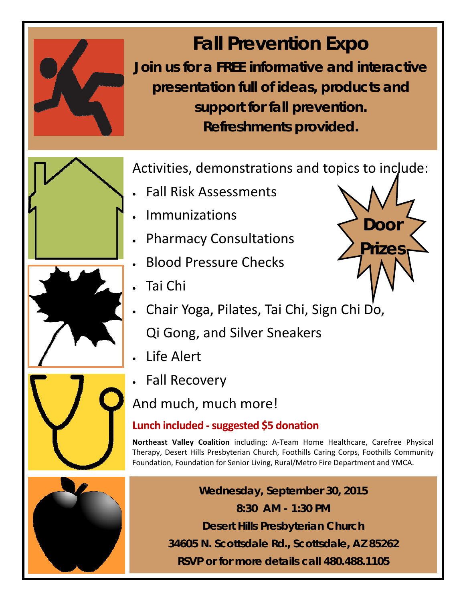

# **Fall Prevention Expo**

**Join us for a FREE informative and interactive presentation full of ideas, products and support for fall prevention. Refreshments provided.**



Activities, demonstrations and topics to include:

- Fall Risk Assessments
- Immunizations
- Pharmacy Consultations
- **Blood Pressure Checks**
- Tai Chi
- Chair Yoga, Pilates, Tai Chi, Sign Chi Do, Qi Gong, and Silver Sneakers
- Life Alert
- Fall Recovery

And much, much more!

# **Lunch included ‐ suggested \$5 donation**

**Northeast Valley Coalition** including: A‐Team Home Healthcare, Carefree Physical Therapy, Desert Hills Presbyterian Church, Foothills Caring Corps, Foothills Community Foundation, Foundation for Senior Living, Rural/Metro Fire Department and YMCA.



**Wednesday, September 30, 2015 8:30 AM - 1:30 PM Desert Hills Presbyterian Church 34605 N. Scottsdale Rd., Scottsdale, AZ 85262 RSVP or for more details call 480.488.1105**